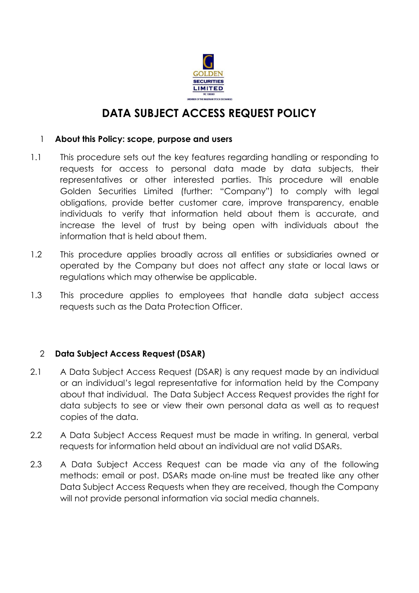

# **DATA SUBJECT ACCESS REQUEST POLICY**

#### 1 **About this Policy: scope, purpose and users**

- 1.1 This procedure sets out the key features regarding handling or responding to requests for access to personal data made by data subjects, their representatives or other interested parties. This procedure will enable Golden Securities Limited (further: "Company") to comply with legal obligations, provide better customer care, improve transparency, enable individuals to verify that information held about them is accurate, and increase the level of trust by being open with individuals about the information that is held about them.
- 1.2 This procedure applies broadly across all entities or subsidiaries owned or operated by the Company but does not affect any state or local laws or regulations which may otherwise be applicable.
- 1.3 This procedure applies to employees that handle data subject access requests such as the Data Protection Officer.

# 2 **Data Subject Access Request (DSAR)**

- 2.1 A Data Subject Access Request (DSAR) is any request made by an individual or an individual's legal representative for information held by the Company about that individual. The Data Subject Access Request provides the right for data subjects to see or view their own personal data as well as to request copies of the data.
- 2.2 A Data Subject Access Request must be made in writing. In general, verbal requests for information held about an individual are not valid DSARs.
- 2.3 A Data Subject Access Request can be made via any of the following methods: email or post. DSARs made on-line must be treated like any other Data Subject Access Requests when they are received, though the Company will not provide personal information via social media channels.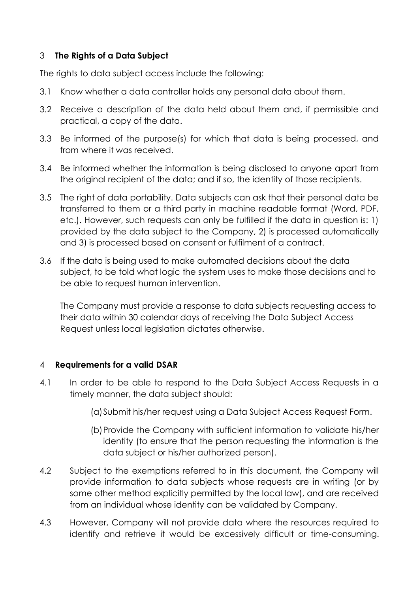## 3 **The Rights of a Data Subject**

The rights to data subject access include the following:

- 3.1 Know whether a data controller holds any personal data about them.
- 3.2 Receive a description of the data held about them and, if permissible and practical, a copy of the data.
- 3.3 Be informed of the purpose(s) for which that data is being processed, and from where it was received.
- 3.4 Be informed whether the information is being disclosed to anyone apart from the original recipient of the data; and if so, the identity of those recipients.
- 3.5 The right of data portability. Data subjects can ask that their personal data be transferred to them or a third party in machine readable format (Word, PDF, etc.). However, such requests can only be fulfilled if the data in question is: 1) provided by the data subject to the Company, 2) is processed automatically and 3) is processed based on consent or fulfilment of a contract.
- 3.6 If the data is being used to make automated decisions about the data subject, to be told what logic the system uses to make those decisions and to be able to request human intervention.

The Company must provide a response to data subjects requesting access to their data within 30 calendar days of receiving the Data Subject Access Request unless local legislation dictates otherwise.

#### 4 **Requirements for a valid DSAR**

- 4.1 In order to be able to respond to the Data Subject Access Requests in a timely manner, the data subject should:
	- (a)Submit his/her request using a Data Subject Access Request Form.
	- (b)Provide the Company with sufficient information to validate his/her identity (to ensure that the person requesting the information is the data subject or his/her authorized person).
- 4.2 Subject to the exemptions referred to in this document, the Company will provide information to data subjects whose requests are in writing (or by some other method explicitly permitted by the local law), and are received from an individual whose identity can be validated by Company.
- 4.3 However, Company will not provide data where the resources required to identify and retrieve it would be excessively difficult or time-consuming.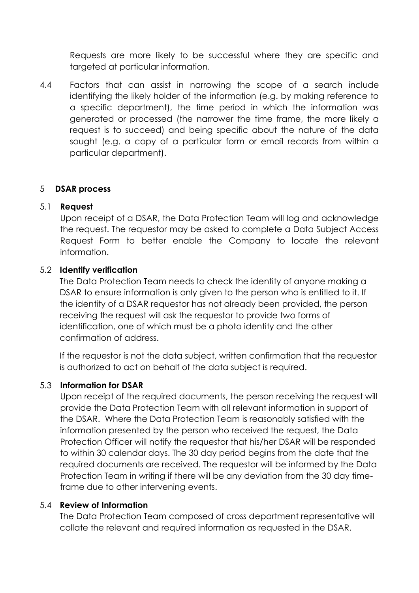Requests are more likely to be successful where they are specific and targeted at particular information.

4.4 Factors that can assist in narrowing the scope of a search include identifying the likely holder of the information (e.g. by making reference to a specific department), the time period in which the information was generated or processed (the narrower the time frame, the more likely a request is to succeed) and being specific about the nature of the data sought (e.g. a copy of a particular form or email records from within a particular department).

#### 5 **DSAR process**

#### 5.1 **Request**

Upon receipt of a DSAR, the Data Protection Team will log and acknowledge the request. The requestor may be asked to complete a Data Subject Access Request Form to better enable the Company to locate the relevant information.

# 5.2 **Identify verification**

The Data Protection Team needs to check the identity of anyone making a DSAR to ensure information is only given to the person who is entitled to it. If the identity of a DSAR requestor has not already been provided, the person receiving the request will ask the requestor to provide two forms of identification, one of which must be a photo identity and the other confirmation of address.

If the requestor is not the data subject, written confirmation that the requestor is authorized to act on behalf of the data subject is required.

#### 5.3 **Information for DSAR**

Upon receipt of the required documents, the person receiving the request will provide the Data Protection Team with all relevant information in support of the DSAR. Where the Data Protection Team is reasonably satisfied with the information presented by the person who received the request, the Data Protection Officer will notify the requestor that his/her DSAR will be responded to within 30 calendar days. The 30 day period begins from the date that the required documents are received. The requestor will be informed by the Data Protection Team in writing if there will be any deviation from the 30 day timeframe due to other intervening events.

#### 5.4 **Review of Information**

The Data Protection Team composed of cross department representative will collate the relevant and required information as requested in the DSAR.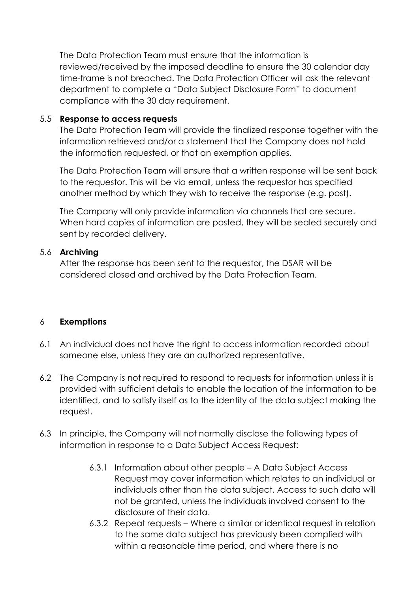The Data Protection Team must ensure that the information is reviewed/received by the imposed deadline to ensure the 30 calendar day time-frame is not breached. The Data Protection Officer will ask the relevant department to complete a "Data Subject Disclosure Form" to document compliance with the 30 day requirement.

## 5.5 **Response to access requests**

The Data Protection Team will provide the finalized response together with the information retrieved and/or a statement that the Company does not hold the information requested, or that an exemption applies.

The Data Protection Team will ensure that a written response will be sent back to the requestor. This will be via email, unless the requestor has specified another method by which they wish to receive the response (e.g. post).

The Company will only provide information via channels that are secure. When hard copies of information are posted, they will be sealed securely and sent by recorded delivery.

## 5.6 **Archiving**

After the response has been sent to the requestor, the DSAR will be considered closed and archived by the Data Protection Team.

#### 6 **Exemptions**

- 6.1 An individual does not have the right to access information recorded about someone else, unless they are an authorized representative.
- 6.2 The Company is not required to respond to requests for information unless it is provided with sufficient details to enable the location of the information to be identified, and to satisfy itself as to the identity of the data subject making the request.
- 6.3 In principle, the Company will not normally disclose the following types of information in response to a Data Subject Access Request:
	- 6.3.1 Information about other people A Data Subject Access Request may cover information which relates to an individual or individuals other than the data subject. Access to such data will not be granted, unless the individuals involved consent to the disclosure of their data.
	- 6.3.2 Repeat requests Where a similar or identical request in relation to the same data subject has previously been complied with within a reasonable time period, and where there is no